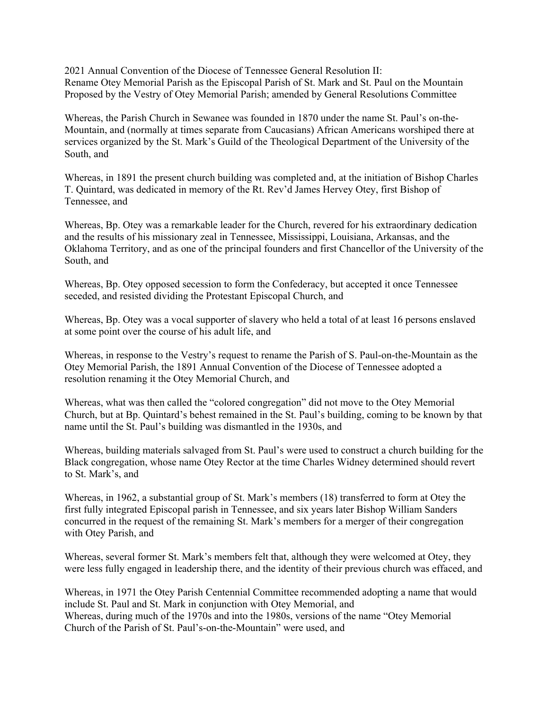2021 Annual Convention of the Diocese of Tennessee General Resolution II: Rename Otey Memorial Parish as the Episcopal Parish of St. Mark and St. Paul on the Mountain Proposed by the Vestry of Otey Memorial Parish; amended by General Resolutions Committee

Whereas, the Parish Church in Sewanee was founded in 1870 under the name St. Paul's on-the-Mountain, and (normally at times separate from Caucasians) African Americans worshiped there at services organized by the St. Mark's Guild of the Theological Department of the University of the South, and

Whereas, in 1891 the present church building was completed and, at the initiation of Bishop Charles T. Quintard, was dedicated in memory of the Rt. Rev'd James Hervey Otey, first Bishop of Tennessee, and

Whereas, Bp. Otey was a remarkable leader for the Church, revered for his extraordinary dedication and the results of his missionary zeal in Tennessee, Mississippi, Louisiana, Arkansas, and the Oklahoma Territory, and as one of the principal founders and first Chancellor of the University of the South, and

Whereas, Bp. Otey opposed secession to form the Confederacy, but accepted it once Tennessee seceded, and resisted dividing the Protestant Episcopal Church, and

Whereas, Bp. Otey was a vocal supporter of slavery who held a total of at least 16 persons enslaved at some point over the course of his adult life, and

Whereas, in response to the Vestry's request to rename the Parish of S. Paul-on-the-Mountain as the Otey Memorial Parish, the 1891 Annual Convention of the Diocese of Tennessee adopted a resolution renaming it the Otey Memorial Church, and

Whereas, what was then called the "colored congregation" did not move to the Otey Memorial Church, but at Bp. Quintard's behest remained in the St. Paul's building, coming to be known by that name until the St. Paul's building was dismantled in the 1930s, and

Whereas, building materials salvaged from St. Paul's were used to construct a church building for the Black congregation, whose name Otey Rector at the time Charles Widney determined should revert to St. Mark's, and

Whereas, in 1962, a substantial group of St. Mark's members (18) transferred to form at Otey the first fully integrated Episcopal parish in Tennessee, and six years later Bishop William Sanders concurred in the request of the remaining St. Mark's members for a merger of their congregation with Otey Parish, and

Whereas, several former St. Mark's members felt that, although they were welcomed at Otey, they were less fully engaged in leadership there, and the identity of their previous church was effaced, and

Whereas, in 1971 the Otey Parish Centennial Committee recommended adopting a name that would include St. Paul and St. Mark in conjunction with Otey Memorial, and Whereas, during much of the 1970s and into the 1980s, versions of the name "Otey Memorial Church of the Parish of St. Paul's-on-the-Mountain" were used, and